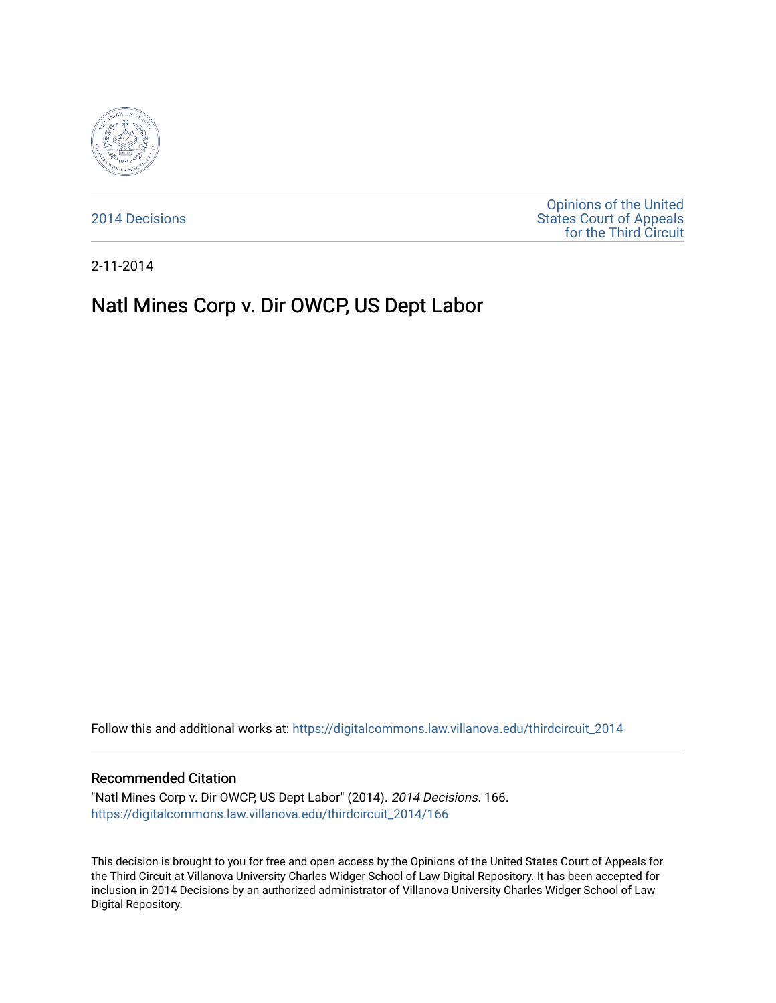

[2014 Decisions](https://digitalcommons.law.villanova.edu/thirdcircuit_2014)

[Opinions of the United](https://digitalcommons.law.villanova.edu/thirdcircuit)  [States Court of Appeals](https://digitalcommons.law.villanova.edu/thirdcircuit)  [for the Third Circuit](https://digitalcommons.law.villanova.edu/thirdcircuit) 

2-11-2014

# Natl Mines Corp v. Dir OWCP, US Dept Labor

Follow this and additional works at: [https://digitalcommons.law.villanova.edu/thirdcircuit\\_2014](https://digitalcommons.law.villanova.edu/thirdcircuit_2014?utm_source=digitalcommons.law.villanova.edu%2Fthirdcircuit_2014%2F166&utm_medium=PDF&utm_campaign=PDFCoverPages) 

#### Recommended Citation

"Natl Mines Corp v. Dir OWCP, US Dept Labor" (2014). 2014 Decisions. 166. [https://digitalcommons.law.villanova.edu/thirdcircuit\\_2014/166](https://digitalcommons.law.villanova.edu/thirdcircuit_2014/166?utm_source=digitalcommons.law.villanova.edu%2Fthirdcircuit_2014%2F166&utm_medium=PDF&utm_campaign=PDFCoverPages)

This decision is brought to you for free and open access by the Opinions of the United States Court of Appeals for the Third Circuit at Villanova University Charles Widger School of Law Digital Repository. It has been accepted for inclusion in 2014 Decisions by an authorized administrator of Villanova University Charles Widger School of Law Digital Repository.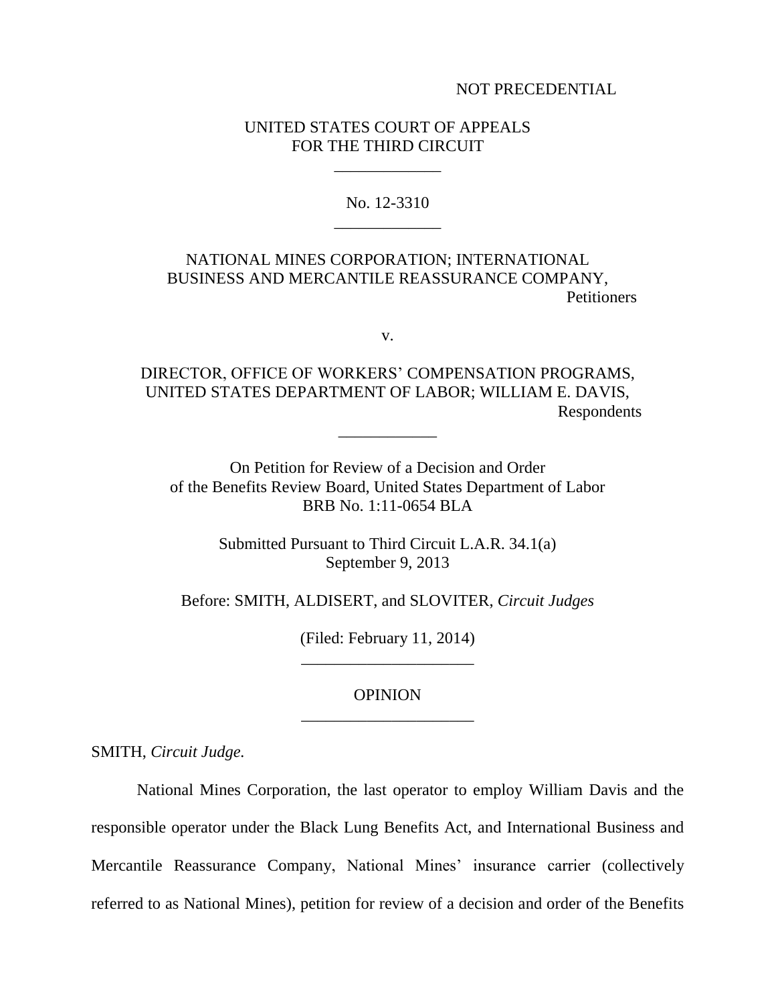NOT PRECEDENTIAL

## UNITED STATES COURT OF APPEALS FOR THE THIRD CIRCUIT

\_\_\_\_\_\_\_\_\_\_\_\_\_

No. 12-3310 \_\_\_\_\_\_\_\_\_\_\_\_\_

## NATIONAL MINES CORPORATION; INTERNATIONAL BUSINESS AND MERCANTILE REASSURANCE COMPANY, **Petitioners**

v.

DIRECTOR, OFFICE OF WORKERS' COMPENSATION PROGRAMS, UNITED STATES DEPARTMENT OF LABOR; WILLIAM E. DAVIS, Respondents \_\_\_\_\_\_\_\_\_\_\_\_

On Petition for Review of a Decision and Order of the Benefits Review Board, United States Department of Labor BRB No. 1:11-0654 BLA

> Submitted Pursuant to Third Circuit L.A.R. 34.1(a) September 9, 2013

Before: SMITH, ALDISERT, and SLOVITER, *Circuit Judges*

(Filed: February 11, 2014) \_\_\_\_\_\_\_\_\_\_\_\_\_\_\_\_\_\_\_\_\_

### OPINION \_\_\_\_\_\_\_\_\_\_\_\_\_\_\_\_\_\_\_\_\_

SMITH, *Circuit Judge.*

National Mines Corporation, the last operator to employ William Davis and the responsible operator under the Black Lung Benefits Act, and International Business and Mercantile Reassurance Company, National Mines' insurance carrier (collectively referred to as National Mines), petition for review of a decision and order of the Benefits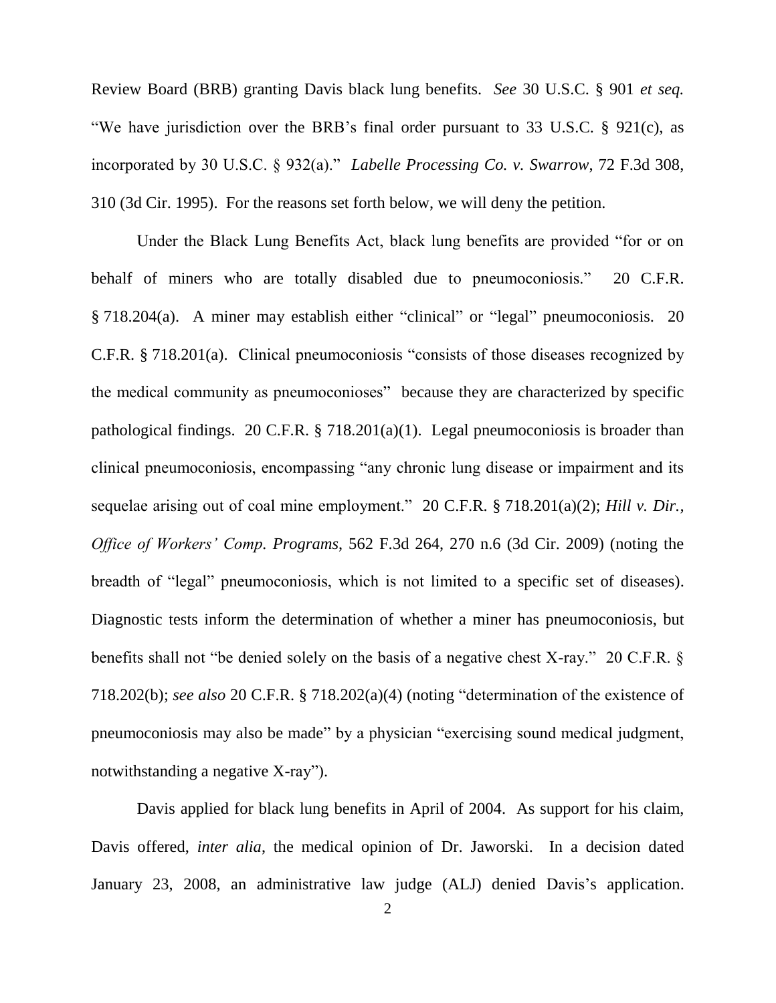Review Board (BRB) granting Davis black lung benefits. *See* 30 U.S.C. § 901 *et seq.* "We have jurisdiction over the BRB's final order pursuant to 33 U.S.C. § 921(c), as incorporated by 30 U.S.C. § 932(a)." *Labelle Processing Co. v. Swarrow*, 72 F.3d 308, 310 (3d Cir. 1995). For the reasons set forth below, we will deny the petition.

Under the Black Lung Benefits Act, black lung benefits are provided "for or on behalf of miners who are totally disabled due to pneumoconiosis." 20 C.F.R. § 718.204(a). A miner may establish either "clinical" or "legal" pneumoconiosis. 20 C.F.R. § 718.201(a). Clinical pneumoconiosis "consists of those diseases recognized by the medical community as pneumoconioses" because they are characterized by specific pathological findings. 20 C.F.R. § 718.201(a)(1). Legal pneumoconiosis is broader than clinical pneumoconiosis, encompassing "any chronic lung disease or impairment and its sequelae arising out of coal mine employment." 20 C.F.R. § 718.201(a)(2); *Hill v. Dir., Office of Workers' Comp. Programs*, 562 F.3d 264, 270 n.6 (3d Cir. 2009) (noting the breadth of "legal" pneumoconiosis, which is not limited to a specific set of diseases). Diagnostic tests inform the determination of whether a miner has pneumoconiosis, but benefits shall not "be denied solely on the basis of a negative chest X-ray." 20 C.F.R. § 718.202(b); *see also* 20 C.F.R. § 718.202(a)(4) (noting "determination of the existence of pneumoconiosis may also be made" by a physician "exercising sound medical judgment, notwithstanding a negative X-ray").

Davis applied for black lung benefits in April of 2004. As support for his claim, Davis offered, *inter alia*, the medical opinion of Dr. Jaworski. In a decision dated January 23, 2008, an administrative law judge (ALJ) denied Davis's application.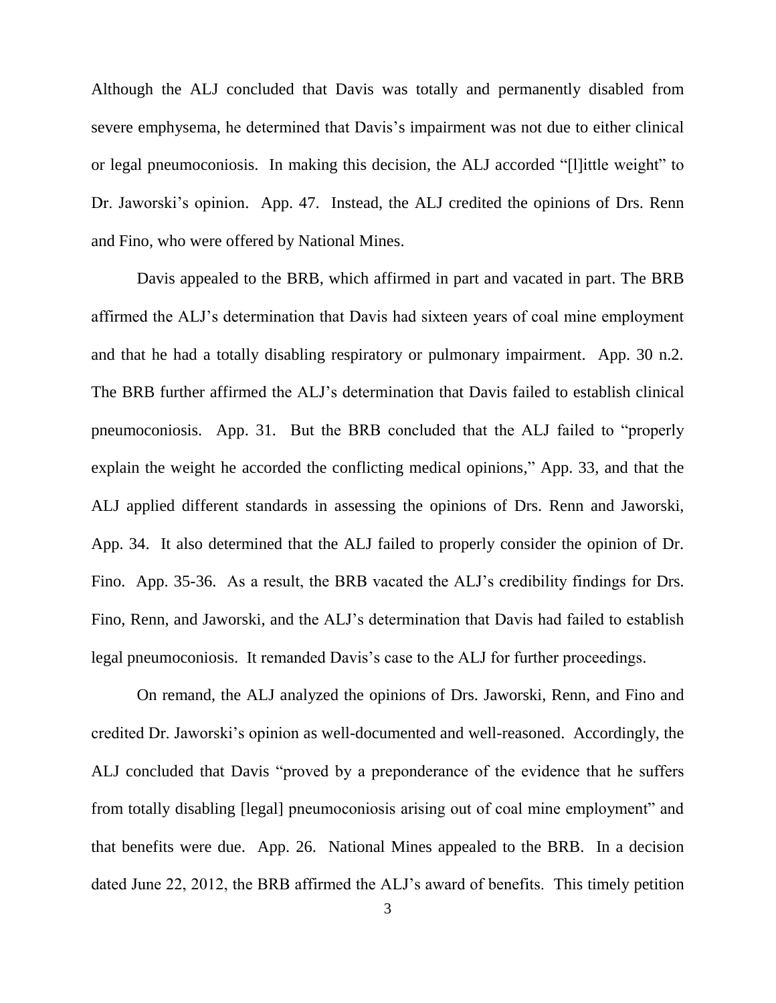Although the ALJ concluded that Davis was totally and permanently disabled from severe emphysema, he determined that Davis's impairment was not due to either clinical or legal pneumoconiosis. In making this decision, the ALJ accorded "[l]ittle weight" to Dr. Jaworski's opinion. App. 47. Instead, the ALJ credited the opinions of Drs. Renn and Fino, who were offered by National Mines.

Davis appealed to the BRB, which affirmed in part and vacated in part. The BRB affirmed the ALJ's determination that Davis had sixteen years of coal mine employment and that he had a totally disabling respiratory or pulmonary impairment. App. 30 n.2. The BRB further affirmed the ALJ's determination that Davis failed to establish clinical pneumoconiosis. App. 31. But the BRB concluded that the ALJ failed to "properly explain the weight he accorded the conflicting medical opinions," App. 33, and that the ALJ applied different standards in assessing the opinions of Drs. Renn and Jaworski, App. 34. It also determined that the ALJ failed to properly consider the opinion of Dr. Fino. App. 35-36. As a result, the BRB vacated the ALJ's credibility findings for Drs. Fino, Renn, and Jaworski, and the ALJ's determination that Davis had failed to establish legal pneumoconiosis. It remanded Davis's case to the ALJ for further proceedings.

On remand, the ALJ analyzed the opinions of Drs. Jaworski, Renn, and Fino and credited Dr. Jaworski's opinion as well-documented and well-reasoned. Accordingly, the ALJ concluded that Davis "proved by a preponderance of the evidence that he suffers from totally disabling [legal] pneumoconiosis arising out of coal mine employment" and that benefits were due. App. 26. National Mines appealed to the BRB. In a decision dated June 22, 2012, the BRB affirmed the ALJ's award of benefits. This timely petition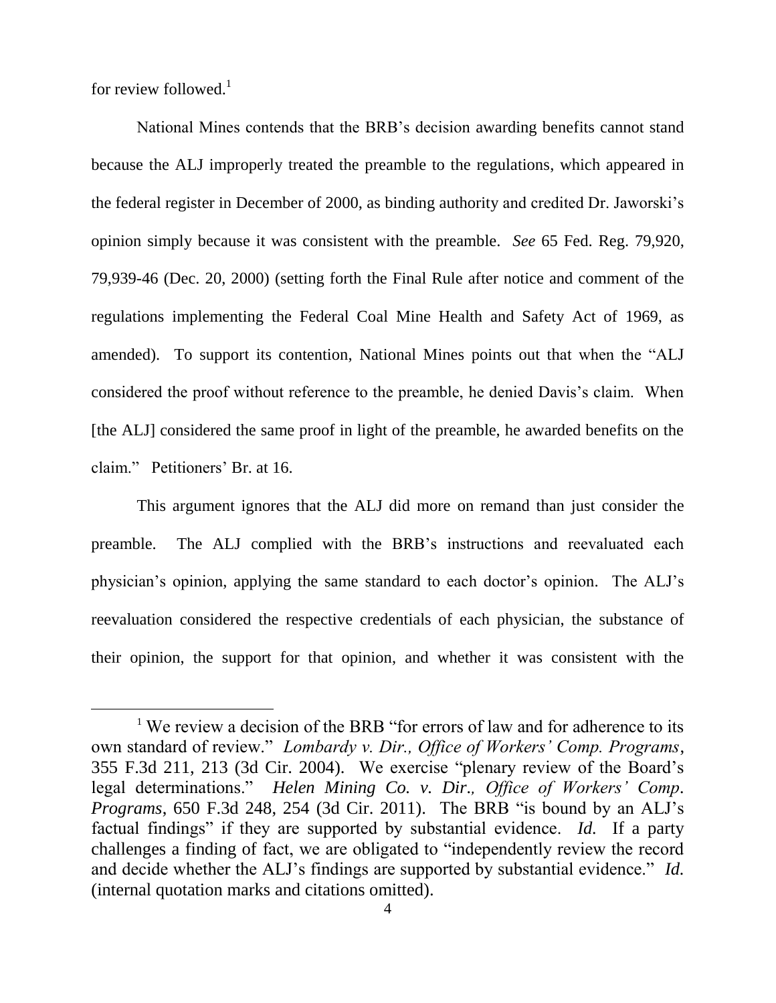for review followed. $<sup>1</sup>$ </sup>

 $\overline{a}$ 

National Mines contends that the BRB's decision awarding benefits cannot stand because the ALJ improperly treated the preamble to the regulations, which appeared in the federal register in December of 2000, as binding authority and credited Dr. Jaworski's opinion simply because it was consistent with the preamble. *See* 65 Fed. Reg. 79,920, 79,939-46 (Dec. 20, 2000) (setting forth the Final Rule after notice and comment of the regulations implementing the Federal Coal Mine Health and Safety Act of 1969, as amended). To support its contention, National Mines points out that when the "ALJ considered the proof without reference to the preamble, he denied Davis's claim. When [the ALJ] considered the same proof in light of the preamble, he awarded benefits on the claim." Petitioners' Br. at 16.

This argument ignores that the ALJ did more on remand than just consider the preamble. The ALJ complied with the BRB's instructions and reevaluated each physician's opinion, applying the same standard to each doctor's opinion. The ALJ's reevaluation considered the respective credentials of each physician, the substance of their opinion, the support for that opinion, and whether it was consistent with the

<sup>&</sup>lt;sup>1</sup> We review a decision of the BRB "for errors of law and for adherence to its own standard of review." *Lombardy v. Dir., Office of Workers' Comp. Programs*, 355 F.3d 211, 213 (3d Cir. 2004). We exercise "plenary review of the Board's legal determinations." *Helen Mining Co. v. Dir., Office of Workers' Comp. Programs*, 650 F.3d 248, 254 (3d Cir. 2011). The BRB "is bound by an ALJ's factual findings" if they are supported by substantial evidence. *Id.* If a party challenges a finding of fact, we are obligated to "independently review the record and decide whether the ALJ's findings are supported by substantial evidence." *Id.* (internal quotation marks and citations omitted).